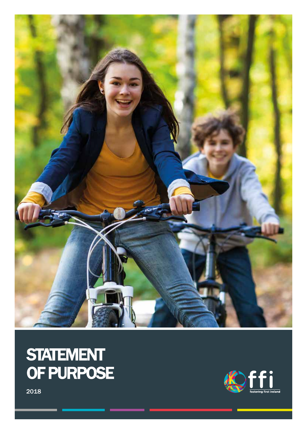

# STATEMENT OF PURPOSE



2018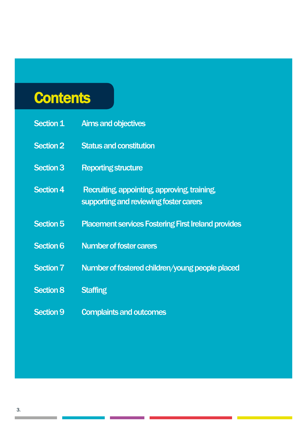# **Contents**

| <b>Section 1</b> | <b>Aims and objectives</b>                                                             |
|------------------|----------------------------------------------------------------------------------------|
| <b>Section 2</b> | <b>Status and constitution</b>                                                         |
| <b>Section 3</b> | <b>Reporting structure</b>                                                             |
| <b>Section 4</b> | Recruiting, appointing, approving, training,<br>supporting and reviewing foster carers |
| <b>Section 5</b> | <b>Placement services Fostering First Ireland provides</b>                             |
| <b>Section 6</b> | <b>Number of foster carers</b>                                                         |
| <b>Section 7</b> | Number of fostered children/young people placed                                        |
| <b>Section 8</b> | <b>Staffing</b>                                                                        |
| <b>Section 9</b> | <b>Complaints and outcomes</b>                                                         |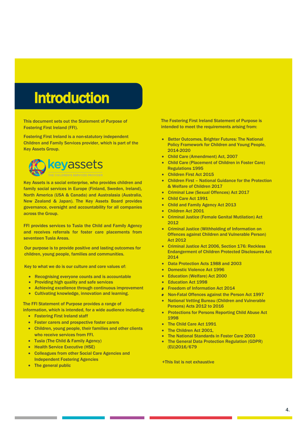# Introduction

This document sets out the Statement of Purpose of Fostering First Ireland (FFI).

Fostering First Ireland is a non-statutory independent Children and Family Services provider, which is part of the Key Assets Group.



Key Assets is a social enterprise, who provides children and family social services in Europe (Finland, Sweden, Ireland), North America (USA & Canada) and Australasia (Australia, New Zealand & Japan). The Key Assets Board provides governance, oversight and accountability for all companies across the Group.

FFI provides services to Tusla the Child and Family Agency and receives referrals for foster care placements from seventeen Tusla Areas.

Our purpose is to provide positive and lasting outcomes for children, young people, families and communities.

Key to what we do is our culture and core values of:

- Recognising everyone counts and is accountable
- Providing high quality and safe services
- Achieving excellence through continuous improvement
- Cultivating knowledge, innovation and learning.

The FFI Statement of Purpose provides a range of information, which is intended, for a wide audience including:

- Fostering First Ireland staff
- Foster carers and prospective foster carers
- Children, young people, their families and other clients who receive services from FFI.
- Tusla (The Child & Family Agency)
- Health Service Executive (HSE)
- Colleagues from other Social Care Agencies and Independent Fostering Agencies
- The general public

The Fostering First Ireland Statement of Purpose is intended to meet the requirements arising from:

- Better Outcomes, Brighter Futures: The National Policy Framework for Children and Young People, 2014-2020
- Child Care (Amendment) Act, 2007
- Child Care (Placement of Children in Foster Care) Regulations 1995
- Children First Act 2015
- Children First National Guidance for the Protection & Welfare of Children 2017
- Criminal Law (Sexual Offences) Act 2017
- Child Care Act 1991
- Child and Family Agency Act 2013
- Children Act 2001
- Criminal Justice (Female Genital Mutilation) Act 2012
- Criminal Justice (Withholding of Information on Offences against Children and Vulnerable Person) Act 2012
- Criminal Justice Act 2006, Section 176: Reckless Endangerment of Children Protected Disclosures Act 2014
- Data Protection Acts 1988 and 2003
- Domestic Violence Act 1996
- Education (Welfare) Act 2000
- Education Act 1998
- Freedom of Information Act 2014
- Non-Fatal Offences against the Person Act 1997 •
- National Vetting Bureau (Children and Vulnerable Persons) Acts 2012 to 2016
- Protections for Persons Reporting Child Abuse Act 1998
- The Child Care Act 1991
- The Children Act 2001.
- The National Standards in Foster Care 2003
- The General Data Protection Regulation (GDPR) (EU)2016/679

+This list is not exhaustive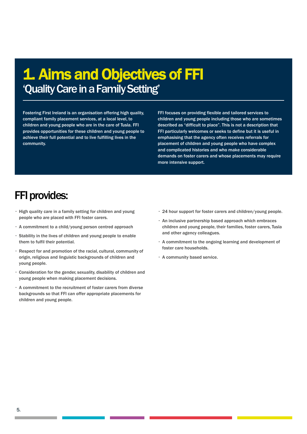# 1. Aims and Objectives of FFI 'Quality Care in a Family Setting'

Fostering First Ireland is an organisation offering high quality, compliant family placement services, at a local level, to children and young people who are in the care of Tusla. FFI provides opportunities for these children and young people to achieve their full potential and to live fulfilling lives in the community.

FFI focuses on providing flexible and tailored services to children and young people including those who are sometimes described as "difficult to place". This is not a description that FFI particularly welcomes or seeks to define but it is useful in emphasising that the agency often receives referrals for placement of children and young people who have complex and complicated histories and who make considerable demands on foster carers and whose placements may require more intensive support.

## FFI provides:

- High quality care in a family setting for children and young people who are placed with FFI foster carers.
- A commitment to a child/young person centred approach
- Stability in the lives of children and young people to enable them to fulfil their potential.
- Respect for and promotion of the racial, cultural, community of origin, religious and linguistic backgrounds of children and young people.
- Consideration for the gender, sexuality, disability of children and young people when making placement decisions.
- A commitment to the recruitment of foster carers from diverse backgrounds so that FFI can offer appropriate placements for children and young people.
- 24 hour support for foster carers and children/young people.
- An inclusive partnership based approach which embraces children and young people, their families, foster carers, Tusla and other agency colleagues.
- A commitment to the ongoing learning and development of foster care households.
- A community based service.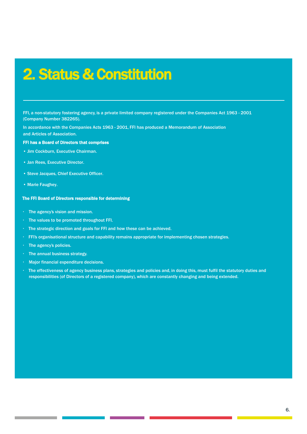# 2. Status & Constitution

FFI, a non-statutory fostering agency, is a private limited company registered under the Companies Act 1963 - 2001 (Company Number 382265).

In accordance with the Companies Acts 1963 - 2001, FFI has produced a Memorandum of Association and Articles of Association.

#### FFI has a Board of Directors that comprises

- Jim Cockburn, Executive Chairman.
- Jan Rees, Executive Director.
- Steve Jacques, Chief Executive Officer.
- Marie Faughey.

#### The FFI Board of Directors responsible for determining

- The agency's vision and mission.
- The values to be promoted throughout FFI.
- The strategic direction and goals for FFI and how these can be achieved.
- FFI's organisational structure and capability remains appropriate for implementing chosen strategies.
- The agency's policies.
- The annual business strategy.
- Major financial expenditure decisions.
- The effectiveness of agency business plans, strategies and policies and, in doing this, must fulfil the statutory duties and responsibilities (of Directors of a registered company), which are constantly changing and being extended.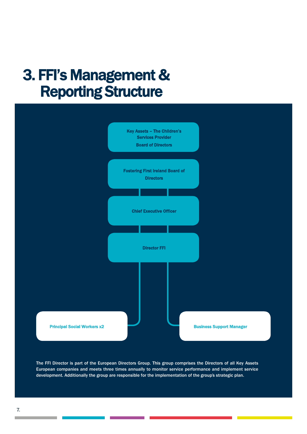# 3. FFI's Management & Reporting Structure



The FFI Director is part of the European Directors Group. This group comprises the Directors of all Key Assets European companies and meets three times annually to monitor service performance and implement service development. Additionally the group are responsible for the implementation of the group's strategic plan.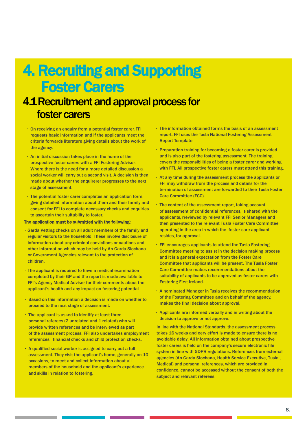# 4. Recruiting and Supporting Foster Carers

## 4.1 Recruitment and approval process for foster carers

- On receiving an enquiry from a potential foster carer, FFI requests basic information and if the applicants meet the criteria forwards literature giving details about the work of the agency.
- An initial discussion takes place in the home of the prospective foster carers with a FFI Fostering Advisor. Where there is the need for a more detailed discussion a social worker will carry out a second visit. A decision is then made about whether the enquirerer progresses to the next stage of assessment.
- The potential foster carer completes an application form, giving detailed information about them and their family and consent for FFI to complete necessary checks and enquiries to ascertain their suitability to foster.

#### The application must be submitted with the following:

- Garda Vetting checks on all adult members of the family and regular visitors to the household. These involve disclosure of information about any criminal convictions or cautions and other information which may be held by An Garda Siochana or Government Agencies relevant to the protection of children.
- The applicant is required to have a medical examination completed by their GP and the report is made available to FFI's Agency Medical Adviser for their comments about the applicant's health and any impact on fostering potential
- Based on this information a decision is made on whether to proceed to the next stage of assessment.
- The applicant is asked to identify at least three personal referees (2 unrelated and 1 related) who will provide written references and be interviewed as part of the assessment process. FFI also undertakes employment references, financial checks and child protection checks.
- A qualified social worker is assigned to carry out a full assessment. They visit the applicant's home, generally on 10 occasions, to meet and collect information about all members of the household and the applicant's experience and skills in relation to fostering.
- The information obtained forms the basis of an assessment report. FFI uses the Tusla National Fostering Assessment Report Template.
- Preparation training for becoming a foster carer is provided and is also part of the fostering assessment. The training covers the responsibilities of being a foster carer and working with FFI. All prospective foster carers must attend this training.
- At any time during the assessment process the applicants or FFI may withdraw from the process and details for the termination of assessment are forwarded to their Tusla Foster Care Committee (FCC).
- The content of the assessment report, taking account of assessment of confidential references, is shared with the applicants, rreviewed by relevant FFI Senior Managers and then presented to the relevant Tusla Foster Care Committee operating in the area in which the foster care applicant resides, for approval.
- FFI encourages applicants to attend the Tusla Fostering Committee meeting to assist in the decision making process and it is a general expectation from the Foster Care Committee that applicants will be present. The Tusla Foster Care Committee makes recommendations about the suitability of applicants to be approved as foster carers with Fostering First Ireland.
- A nominated Manager in Tusla receives the recommendation of the Fostering Committee and on behalf of the agency, makes the final decision about approval.
- Applicants are informed verbally and in writing about the decision to approve or not approve.

In line with the National Standards, the assessment process takes 16 weeks and eery effort is made to ensure there is no avoidable delay. All information obtained about prospective foster carers is held on the company's secure electronic file system in line with GDPR regulations. References from external agencies (An Garda Siochana, Health Service Executive, Tusla , Medical) and personal references, which are provided in confidence, cannot be accessed without the consent of both the subject and relevant referees.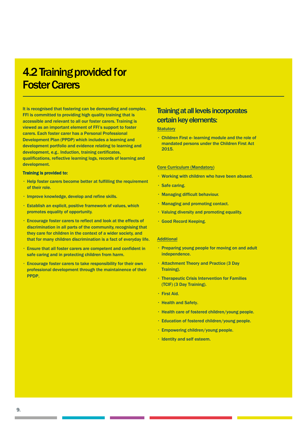## 4.2 Training provided for Foster Carers

It is recognised that fostering can be demanding and complex. FFI is committed to providing high quality training that is accessible and relevant to all our foster carers. Training is viewed as an important element of FFI's support to foster carers. Each foster carer has a Personal Professional Development Plan (PPDP) which includes a learning and development portfolio and evidence relating to learning and development, e.g.. Induction, training certificates, qualifications, reflective learning logs, records of learning and development.

#### Training is provided to:

- $\cdot$  Help foster carers become better at fulfilling the requirement of their role.
- Improve knowledge, develop and refine skills.
- Establish an explicit, positive framework of values, which promotes equality of opportunity.
- Encourage foster carers to reflect and look at the effects of discrimination in all parts of the community, recognising that they care for children in the context of a wider society, and that for many children discrimination is a fact of everyday life.
- Ensure that all foster carers are competent and confident in safe caring and in protecting children from harm.
- Encourage foster carers to take responsibility for their own professional development through the maintainence of their PPDP.

## Training at all levels incorporates certain key elements:

#### **Statutory**

• Children First e- learning module and the role of mandated persons under the Children First Act 2015.

#### Core Curriculum (Mandatory)

- Working with children who have been abused.
- Safe caring.
- Managing difficult behaviour.
- Managing and promoting contact.
- Valuing diversity and promoting equality.
- Good Record Keeping.

#### **Additional**

- Preparing young people for moving on and adult independence.
- Attachment Theory and Practice (3 Day Training).
- Therapeutic Crisis Intervention for Families (TCIF) (3 Day Training).
- First Aid.
- Health and Safety.
- Health care of fostered children/young people.
- Education of fostered children/young people.
- Empowering children/young people.
- Identity and self esteem.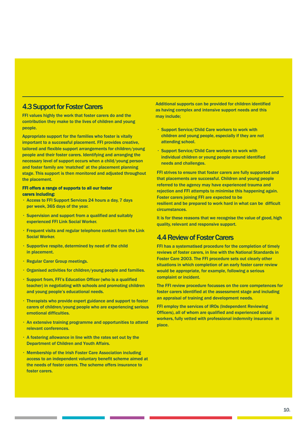#### 4.3 Support for Foster Carers

FFI values highly the work that foster carers do and the contribution they make to the lives of children and young people.

Appropriate support for the families who foster is vitally important to a successful placement. FFI provides creative, tailored and flexible support arrangements for children/young people and their foster carers. Identifying and arranging the necessary level of support occurs when a child/young person and foster family are 'matched' at the placement planning stage. This support is then monitored and adjusted throughout the placement.

#### FFI offers a range of supports to all our foster carers including:

- Access to FFI Support Services 24 hours a day, 7 days per week, 365 days of the year.
- Supervision and support from a qualified and suitably experienced FFI Link Social Worker.
- Frequent visits and regular telephone contact from the Link Social Worker.
- Supportive respite, determined by need of the child in placement.
- Regular Carer Group meetings.
- Organised activities for children/young people and families.
- Support from, FFI's Education Officer (who is a qualified teacher) in negotiating with schools and promoting children and young people's educational needs.
- Therapists who provide expert guidance and support to foster carers of children/young people who are experiencing serious emotional difficulties.
- An extensive training programme and opportunities to attend relevant conferences.
- A fostering allowance in line with the rates set out by the Department of Children and Youth Affairs.
- Membership of the Irish Foster Care Association including access to an independent voluntary benefit scheme aimed at the needs of foster carers. The scheme offers insurance to foster carers.

Additional supports can be provided for children identified as having complex and intensive support needs and this may include;

- Support Service/Child Care workers to work with children and young people, especially if they are not attending school.
- Support Service/Child Care workers to work with individual children or young people around identified needs and challenges.

FFI strives to ensure that foster carers are fully supported and that placements are successful. Children and young people referred to the agency may have experienced trauma and rejection and FFI attempts to minimise this happening again. Foster carers joining FFI are expected to be resilient and be prepared to work hard in what can be difficult circumstances.

It is for these reasons that we recognise the value of good, high quality, relevant and responsive support.

### 4.4 Review of Foster Carers

FFI has a systematised procedure for the completion of timely reviews of foster carers, in line with the National Standards in Foster Care 2003. The FFI procedure sets out clearly other situations in which completion of an early foster carer review would be appropriate, for example, following a serious complaint or incident.

The FFI review procedure focusses on the core competences for foster carers identified at the assessment stage and including an appraisal of training and development needs.

FFI employ the services of IROs (Independent Reviewing Officers), all of whom are qualified and experienced social workers, fully vetted with professional indemnity insurance in place.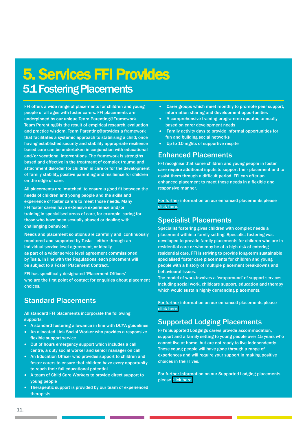# 5. Services FFI Provides 5.1 Fostering Placements

FFI offers a wide range of placements for children and young people of all ages with foster carers. FFI placements are underpinned by our unique Team Parenting® Framework. Team Parenting® is the result of empirical research, evaluation and practice wisdom. Team Parenting® provides a framework that facilitates a systemic approach to stabilising a child; once having established security and stability appropriate resilience based care can be undertaken in conjunction with educational and/or vocational interventions. The framework is strengths based and effective in the treatment of complex trauma and attachment disorder for children in care or for the development of family stability, positive parenting and resilience for children on the edge of care.

All placements are 'matched' to ensure a good fit between the needs of children and young people and the skills and experience of foster carers to meet those needs. Many FFI foster carers have extensive experience and/or training in specialised areas of care, for example, caring for those who have been sexually abused or dealing with challenging behaviour.

Needs and placement solutions are carefully and continuously monitored and supported by Tusla – either through an individual service level agreement, or ideally as part of a wider service level agreement commissioned by Tusla. In line with the Regulations, each placement will be subject to a Foster Placement Contract.

FFI has specifically designated 'Placement Officers' who are the first point of contact for enquiries about placement choices.

## Standard Placements

All standard FFI placements incorporate the following supports:

- A standard fostering allowance in line with DCYA guidelines
- An allocated Link Social Worker who provides a responsive flexible support service
- Out of hours emergency support which includes a call centre, a duty social worker and senior manager on call
- An Education Officer who provides support to children and foster carers to ensure that children have every opportunity to reach their full educational potential
- A team of Child Care Workers to provide direct support to young people
- Therapeutic support is provided by our team of experienced therapists
- Carer groups which meet monthly to promote peer support, information sharing and development opportunities
- A comprehensive training programme updated annually based on carer development needs
- Family activity days to provide informal opportunities for fun and building social networks
- Up to 10 nights of supportive respite

### Enhanced Placements

FFI recognise that some children and young people in foster care require additional inputs to support their placement and to assist them through a difficult period. FFI can offer an enhanced placement to meet those needs in a flexible and responsive manner.

For further information on our enhanced placements please [click here.](https://www.fosteringfirstireland.ie/services-provided/fostering-services/enhanced-placements/)

### Specialist Placements

Specialist fostering gives children with complex needs a placement within a family setting. Specialist fostering was developed to provide family placements for children who are in residential care or who may be at a high risk of entering residential care. FFI is striving to provide long-term sustainable specialised foster care placements for children and young people with a history of multiple placement breakdowns and behavioural issues.

The model of work involves a 'wraparound' of support services including social work, childcare support, education and therapy which would sustain highly demanding placements.

For further information on our enhanced placements please [click here.](https://www.fosteringfirstireland.ie/services-provided/fostering-services/specialist-placements/)

## Supported Lodging Placements

FFI's Supported Lodgings carers provide accommodation, support and a family setting to young people over 15 years who cannot live at home, but are not ready to live independently. These young people will have gone through a range of experiences and will require your support in making positive choices in their lives.

For further information on our Supported Lodging placements please [click here.](https://www.fosteringfirstireland.ie/services-provided/fostering-services/supported-lodging-placements/)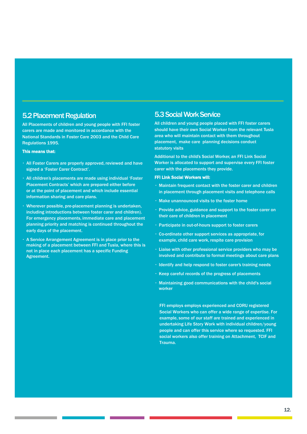### 5.2 Placement Regulation

All Placements of children and young people with FFI foster carers are made and monitored in accordance with the National Standards in Foster Care 2003 and the Child Care Regulations 1995.

#### This means that:

- All Foster Carers are properly approved, reviewed and have signed a 'Foster Carer Contract'.
- All children's placements are made using individual 'Foster Placement Contracts' which are prepared either before or at the point of placement and which include essential information sharing and care plans.
- Wherever possible, pre-placement planning is undertaken, including introductions between foster carer and children). For emergency placements, immediate care and placement planning priority and matching is continued throughout the early days of the placement.
- A Service Arrangement Agreement is in place prior to the making of a placement between FFI and Tusla, where this is not in place each placement has a specific Funding Agreement.

#### 5.3 Social Work Service

All children and young people placed with FFI foster carers should have their own Social Worker from the relevant Tusla area who will maintain contact with them throughout placement, make care planning decisions conduct statutory visits

Additional to the child's Social Worker, an FFI Link Social Worker is allocated to support and supervise every FFI foster carer with the placements they provide.

#### FFI Link Social Workers will:

- Maintain frequent contact with the foster carer and children in placement through placement visits and telephone calls
- Make unannounced visits to the foster home
- Provide advice, guidance and support to the foster carer on their care of children in placement
- Participate in out-of-hours support to foster carers
- Co-ordinate other support services as appropriate, for example, child care work, respite care provision
- Liaise with other professional service providers who may be involved and contribute to formal meetings about care plans
- Identify and help respond to foster carer's training needs
- Keep careful records of the progress of placements
- Maintaining good communications with the child's social worker

FFI employs employs experienced and CORU registered Social Workers who can offer a wide range of expertise. For example, some of our staff are trained and experienced in undertaking Life Story Work with individual children/young people and can offer this service where so requested. FFI social workers also offer training on Attachment, TCIF and Trauma.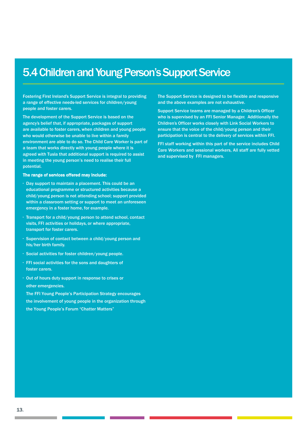## 5.4 Children and Young Person's Support Service

Fostering First Ireland's Support Service is integral to providing a range of effective needs-led services for children/young people and foster carers.

The development of the Support Service is based on the agency's belief that, if appropriate, packages of support are available to foster carers, when children and young people who would otherwise be unable to live within a family environment are able to do so. The Child Care Worker is part of a team that works directly with young people where it is agreed with Tusla that additional support is required to assist in meeting the young person's need to realise their full potential.

#### The range of services offered may include:

- Day support to maintain a placement. This could be an educational programme or structured activities because a child/young person is not attending school; support provided within a classroom setting or support to meet an unforeseen emergency in a foster home, for example.
- Transport for a child/young person to attend school, contact visits, FFI activities or holidays, or where appropriate, transport for foster carers.
- Supervision of contact between a child/young person and his/her birth family.
- Social activities for foster children/young people.
- FFI social activities for the sons and daughters of foster carers.
- Out of hours duty support in response to crises or other emergencies.

The FFI Young People's Participation Strategy encourages the involvement of young people in the organization through the Young People's Forum "Chatter Matters"

The Support Service is designed to be flexible and responsive and the above examples are not exhaustive.

Support Service teams are managed by a Children's Officer who is supervised by an FFI Senior Manager. Additionally the Children's Officer works closely with Link Social Workers to ensure that the voice of the child/young person and their participation is central to the delivery of services within FFI.

FFI staff working within this part of the service includes Child Care Workers and sessional workers, All staff are fully vetted and supervised by FFI managers.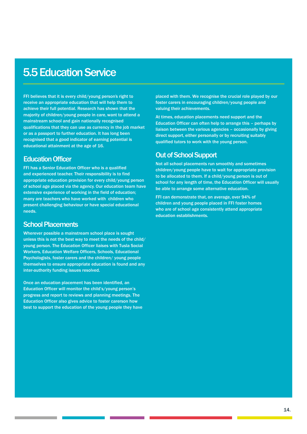## 5.5 Education Service

FFI believes that it is every child/young person's right to receive an appropriate education that will help them to achieve their full potential. Research has shown that the majority of children/young people in care, want to attend a mainstream school and gain nationally recognised qualifications that they can use as currency in the job market or as a passport to further education. It has long been recognised that a good indicator of earning potential is educational attainment at the age of 16.

#### Education Officer

FFI has a Senior Education Officer who is a qualified and experienced teacher. Their responsibility is to find appropriate education provision for every child/young person of school age placed via the agency. Our education team have extensive experience of working in the field of education; many are teachers who have worked with children who present challenging behaviour or have special educational needs.

## School Placements

Wherever possible a mainstream school place is sought unless this is not the best way to meet the needs of the child/ young person. The Education Officer liaises with Tusla Social Workers, Education Welfare Officers, Schools, Educational Psychologists, foster carers and the children/ young people themselves to ensure appropriate education is found and any inter-authority funding issues resolved.

Once an education placement has been identified, an Education Officer will monitor the child's/young person's progress and report to reviews and planning meetings. The Education Officer also gives advice to foster carerson how best to support the education of the young people they have placed with them. We recognise the crucial role played by our foster carers in encouraging children/young people and valuing their achievements.

At times, education placements need support and the Education Officer can often help to arrange this – perhaps by liaison between the various agencies – occasionally by giving direct support, either personally or by recruiting suitably qualified tutors to work with the young person.

### Out of School Support

Not all school placements run smoothly and sometimes children/young people have to wait for appropriate provision to be allocated to them. If a child/young person is out of school for any length of time, the Education Officer will usually be able to arrange some alternative education.

FFI can demonstrate that, on average, over 94% of children and young people placed in FFI foster homes who are of school age consistently attend appropriate education establishments.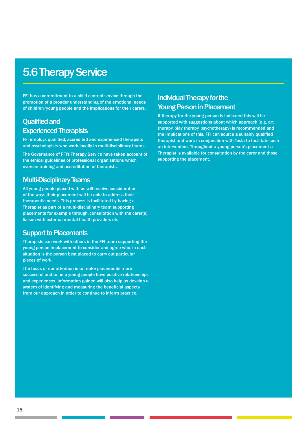## 5.6 Therapy Service

FFI has a commitment to a child centred service through the promotion of a broader understanding of the emotional needs of children/young people and the implications for their carers.

### Qualified and Experienced Therapists

FFI employs qualified, accredited and experienced therapists and psychologists who work locally in multidisciplinary teams.

The Governance of FFI's Therapy Service have taken account of the ethical guidelines of professional organisations which oversee training and accreditation of therapists.

### Multi-Disciplinary Teams

All young people placed with us will receive consideration of the ways their placement will be able to address their therapeutic needs. This process is facilitated by having a Therapist as part of a multi-disciplinary team supporting placements for example through, consultation with the carer(s), liaison with external mental health providers etc.

#### Support to Placements

Therapists can work with others in the FFI team supporting the young person in placement to consider and agree who, in each situation is the person best placed to carry out particular pieces of work.

The focus of our attention is to make placements more successful and to help young people have positive relationships and experiences. Information gained will also help us develop a system of identifying and measuring the beneficial aspects from our approach in order to continue to inform practice.

## Individual Therapy for the Young Person in Placement

If therapy for the young person is indicated this will be supported with suggestions about which approach (e.g. art therapy, play therapy, psychotherapy) is recommended and the implications of this. FFI can source a suitably qualified therapist and work in conjunction with Tusla to facilitate such an intervention. Throughout a young person's placement a Therapist is available for consultation by the carer and those supporting the placement.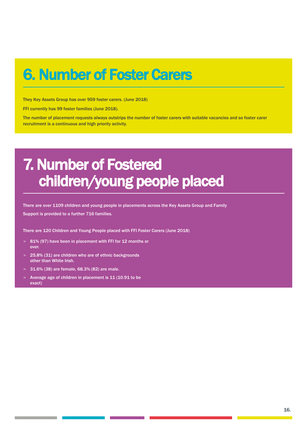# 6. Number of Foster Carers

They Key Assets Group has over 959 foster carers. (June 2018)

FFI currently has 99 foster families (June 2018).

The number of placement requests always outstrips the number of foster carers with suitable vacancies and so foster carer recruitment is a continuous and high priority activity.

# 7. Number of Fostered children/young people placed

There are over 1109 children and young people in placements across the Key Assets Group and Family Support is provided to a further 716 families.

There are 120 Children and Young People placed with FFI Foster Carers (June 2018)

- > 81% (97) have been in placement with FFI for 12 months or over.
- > 25.8% (31) are children who are of ethnic backgrounds other than White Irish.
- > 31.6% (38) are female, 68.3% (82) are male.
- Average age of children in placement is 11 (10.91 to be exact)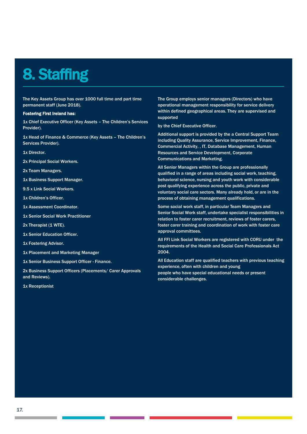# 8. Staffing

The Key Assets Group has over 1000 full time and part time permanent staff (June 2018).

#### Fostering First Ireland has:

1x Chief Executive Officer (Key Assets – The Children's Services Provider).

1x Head of Finance & Commerce (Key Assets – The Children's Services Provider).

1x Director.

2x Principal Social Workers.

2x Team Managers.

1x Business Support Manager.

9.5 x Link Social Workers.

1x Children's Officer.

1x Assessment Coordinator.

1x Senior Social Work Practitioner

2x Therapist (1 WTE).

1x Senior Education Officer.

1x Fostering Advisor.

1x Placement and Marketing Manager

1x Senior Business Support Officer - Finance.

2x Business Support Officers (Placements/ Carer Approvals and Reviews).

1x Receptionist

The Group employs senior managers (Directors) who have operational management responsibility for service delivery within defined geographical areas. They are supervised and supported

by the Chief Executive Officer.

Additional support is provided by the a Central Support Team including Quality Assurance, Service Improvement, Finance, Commercial Activity, , IT, Database Management, Human Resources and Service Development, Corporate Communications and Marketing.

All Senior Managers within the Group are professionally qualified in a range of areas including social work, teaching, behavioral science, nursing and youth work with considerable post qualifying experience across the public, private and voluntary social care sectors. Many already hold, or are in the process of obtaining management qualifications.

Some social work staff, in particular Team Managers and Senior Social Work staff, undertake specialist responsibilities in relation to foster carer recruitment, reviews of foster carers, foster carer training and coordination of work with foster care approval committees.

All FFI Link Social Workers are registered with CORU under the requirements of the Health and Social Care Professionals Act 2004.

All Education staff are qualified teachers with previous teaching experience, often with children and young people who have special educational needs or present considerable challenges.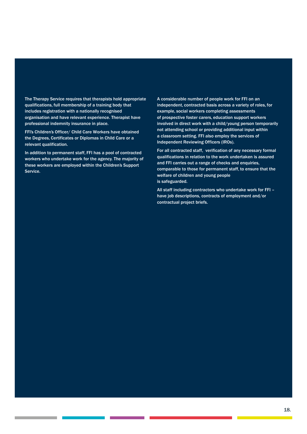The Therapy Service requires that therapists hold appropriate qualifications, full membership of a training body that includes registration with a nationally recognised organisation and have relevant experience. Therapist have professional indemnity insurance in place.

FFI's Children's Officer/ Child Care Workers have obtained the Degrees, Certificates or Diplomas in Child Care or a relevant qualification.

In addition to permanent staff, FFI has a pool of contracted workers who undertake work for the agency. The majority of these workers are employed within the Children's Support Service.

A considerable number of people work for FFI on an independent, contracted basis across a variety of roles, for example, social workers completing assessments of prospective foster carers, education support workers involved in direct work with a child/young person temporarily not attending school or providing additional input within a classroom setting. FFI also employ the services of Independent Reviewing Officers (IROs).

For all contracted staff, verification of any necessary formal qualifications in relation to the work undertaken is assured and FFI carries out a range of checks and enquiries, comparable to those for permanent staff, to ensure that the welfare of children and young people is safeguarded.

All staff including contractors who undertake work for FFI – have job descriptions, contracts of employment and/or contractual project briefs.